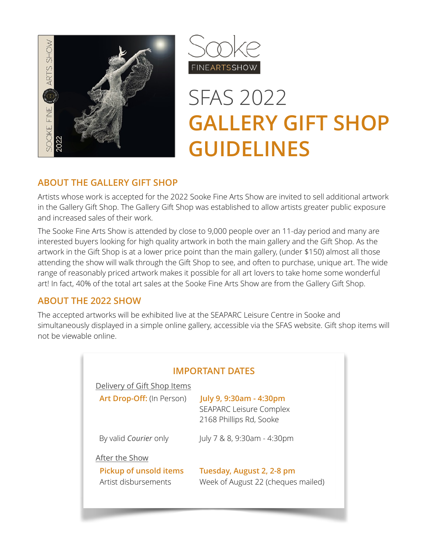



# SFAS 2022 **GALLERY GIFT SHOP GUIDELINES**

## **ABOUT THE GALLERY GIFT SHOP**

Artists whose work is accepted for the 2022 Sooke Fine Arts Show are invited to sell additional artwork in the Gallery Gift Shop. The Gallery Gift Shop was established to allow artists greater public exposure and increased sales of their work.

The Sooke Fine Arts Show is attended by close to 9,000 people over an 11-day period and many are interested buyers looking for high quality artwork in both the main gallery and the Gift Shop. As the artwork in the Gift Shop is at a lower price point than the main gallery, (under \$150) almost all those attending the show will walk through the Gift Shop to see, and often to purchase, unique art. The wide range of reasonably priced artwork makes it possible for all art lovers to take home some wonderful art! In fact, 40% of the total art sales at the Sooke Fine Arts Show are from the Gallery Gift Shop.

## **ABOUT THE 2022 SHOW**

The accepted artworks will be exhibited live at the SEAPARC Leisure Centre in Sooke and simultaneously displayed in a simple online gallery, accessible via the SFAS website. Gift shop items will not be viewable online.

| <b>IMPORTANT DATES</b>        |                                                                                      |  |  |  |  |
|-------------------------------|--------------------------------------------------------------------------------------|--|--|--|--|
| Delivery of Gift Shop Items   |                                                                                      |  |  |  |  |
| Art Drop-Off: (In Person)     | July 9, 9:30am - 4:30pm<br><b>SEAPARC Leisure Complex</b><br>2168 Phillips Rd, Sooke |  |  |  |  |
| By valid Courier only         | July 7 & 8, 9:30am - 4:30pm                                                          |  |  |  |  |
| After the Show                |                                                                                      |  |  |  |  |
| <b>Pickup of unsold items</b> | Tuesday, August 2, 2-8 pm                                                            |  |  |  |  |
| Artist disbursements          | Week of August 22 (cheques mailed)                                                   |  |  |  |  |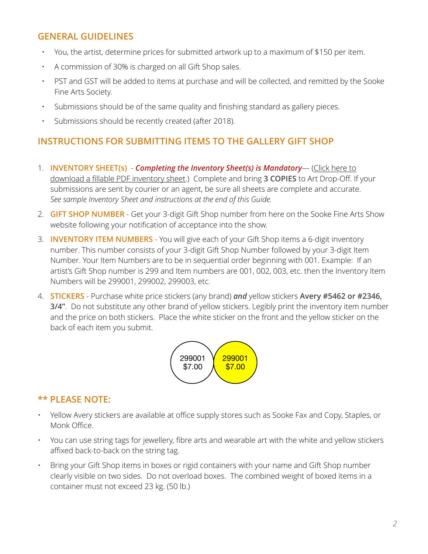## **GENERAL GUIDELINES**

- You, the artist, determine prices for submitted artwork up to a maximum of \$150 per item.
- A commission of 30% is charged on all Gift Shop sales.
- PST and GST will be added to items at purchase and will be collected, and remitted by the Sooke Fine Arts Society.
- Submissions should be of the same quality and finishing standard as gallery pieces.
- Submissions should be recently created (after 2018).

# **INSTRUCTIONS FOR SUBMITTING ITEMS TO THE GALLERY GIFT SHOP**

- 1. **INVENTORY SHEET(s)** *Completing the Inventory Sheet(s) is Mandatory* ([Click here to](https://sookefinearts.com/wp-content/uploads/Inventory-Sheet-GGS-2022-_May-18_fillable.pdf)  download a fi[llable PDF inventory sheet](https://sookefinearts.com/wp-content/uploads/Inventory-Sheet-GGS-2022-_May-18_fillable.pdf).) Complete and bring **3 COPIES** to Art Drop-Off. If your submissions are sent by courier or an agent, be sure all sheets are complete and accurate. *See sample Inventory Sheet and instructions at the end of this Guide.*
- 2. **GIFT SHOP NUMBER** Get your 3-digit Gift Shop number from here on the Sooke Fine Arts Show website following your notification of acceptance into the show.
- 3. **INVENTORY ITEM NUMBERS** You will give each of your Gift Shop items a 6-digit inventory number. This number consists of your 3-digit Gift Shop Number followed by your 3-digit Item Number. Your Item Numbers are to be in sequential order beginning with 001. Example: If an artist's Gift Shop number is 299 and Item numbers are 001, 002, 003, etc. then the Inventory Item Numbers will be 299001, 299002, 299003, etc.
- 4. **STICKERS** Purchase white price stickers (any brand) *and* yellow stickers **Avery #5462 or #2346, 3/4"**. Do not substitute any other brand of yellow stickers. Legibly print the inventory item number and the price on both stickers. Place the white sticker on the front and the yellow sticker on the back of each item you submit.



## **\*\* PLEASE NOTE:**

- Yellow Avery stickers are available at office supply stores such as Sooke Fax and Copy, Staples, or Monk Office.
- You can use string tags for jewellery, fibre arts and wearable art with the white and yellow stickers affixed back-to-back on the string tag.
- Bring your Gift Shop items in boxes or rigid containers with your name and Gift Shop number clearly visible on two sides. Do not overload boxes. The combined weight of boxed items in a container must not exceed 23 kg. (50 lb.)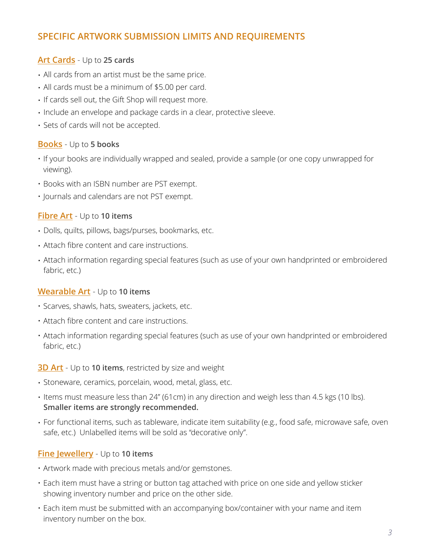# **SPECIFIC ARTWORK SUBMISSION LIMITS AND REQUIREMENTS**

#### **Art Cards** - Up to **25 cards**

- All cards from an artist must be the same price.
- All cards must be a minimum of \$5.00 per card.
- If cards sell out, the Gift Shop will request more.
- Include an envelope and package cards in a clear, protective sleeve.
- Sets of cards will not be accepted.

#### **Books** - Up to **5 books**

- If your books are individually wrapped and sealed, provide a sample (or one copy unwrapped for viewing).
- Books with an ISBN number are PST exempt.
- Journals and calendars are not PST exempt.

#### **Fibre Art** - Up to **10 items**

- Dolls, quilts, pillows, bags/purses, bookmarks, etc.
- Attach fibre content and care instructions.
- Attach information regarding special features (such as use of your own handprinted or embroidered fabric, etc.)

#### **Wearable Art** - Up to **10 items**

- Scarves, shawls, hats, sweaters, jackets, etc.
- Attach fibre content and care instructions.
- Attach information regarding special features (such as use of your own handprinted or embroidered fabric, etc.)

#### **3D Art** - Up to **10 items**, restricted by size and weight

- Stoneware, ceramics, porcelain, wood, metal, glass, etc.
- Items must measure less than 24" (61cm) in any direction and weigh less than 4.5 kgs (10 lbs). **Smaller items are strongly recommended.**
- For functional items, such as tableware, indicate item suitability (e.g., food safe, microwave safe, oven safe, etc.) Unlabelled items will be sold as "decorative only".

#### **Fine Jewellery** - Up to **10 items**

- Artwork made with precious metals and/or gemstones.
- Each item must have a string or button tag attached with price on one side and yellow sticker showing inventory number and price on the other side.
- Each item must be submitted with an accompanying box/container with your name and item inventory number on the box.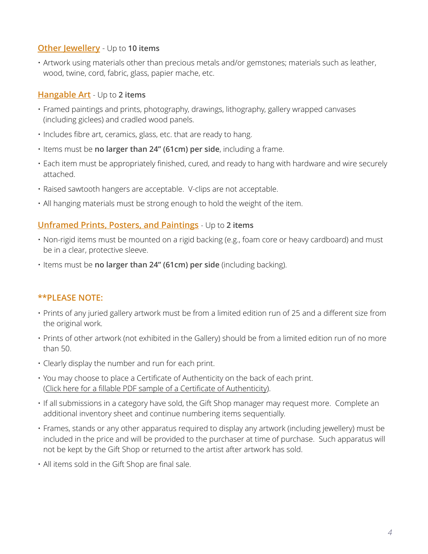### **Other Jewellery** - Up to **10 items**

• Artwork using materials other than precious metals and/or gemstones; materials such as leather, wood, twine, cord, fabric, glass, papier mache, etc.

#### **Hangable Art** - Up to **2 items**

- Framed paintings and prints, photography, drawings, lithography, gallery wrapped canvases (including giclees) and cradled wood panels.
- Includes fibre art, ceramics, glass, etc. that are ready to hang.
- Items must be **no larger than 24" (61cm) per side**, including a frame.
- Each item must be appropriately finished, cured, and ready to hang with hardware and wire securely attached.
- Raised sawtooth hangers are acceptable. V-clips are not acceptable.
- All hanging materials must be strong enough to hold the weight of the item.

## **Unframed Prints, Posters, and Paintings** - Up to **2 items**

- Non-rigid items must be mounted on a rigid backing (e.g., foam core or heavy cardboard) and must be in a clear, protective sleeve.
- Items must be **no larger than 24" (61cm) per side** (including backing).

## **\*\*PLEASE NOTE:**

- Prints of any juried gallery artwork must be from a limited edition run of 25 and a different size from the original work.
- Prints of other artwork (not exhibited in the Gallery) should be from a limited edition run of no more than 50.
- Clearly display the number and run for each print.
- You may choose to place a Certificate of Authenticity on the back of each print. (Click here for a fi[llable PDF sample of a Certi](https://sookefinearts.com/wp-content/uploads/Certificate-of-authenticity.pdf)ficate of Authenticity).
- If all submissions in a category have sold, the Gift Shop manager may request more. Complete an additional inventory sheet and continue numbering items sequentially.
- Frames, stands or any other apparatus required to display any artwork (including jewellery) must be included in the price and will be provided to the purchaser at time of purchase. Such apparatus will not be kept by the Gift Shop or returned to the artist after artwork has sold.
- All items sold in the Gift Shop are final sale.